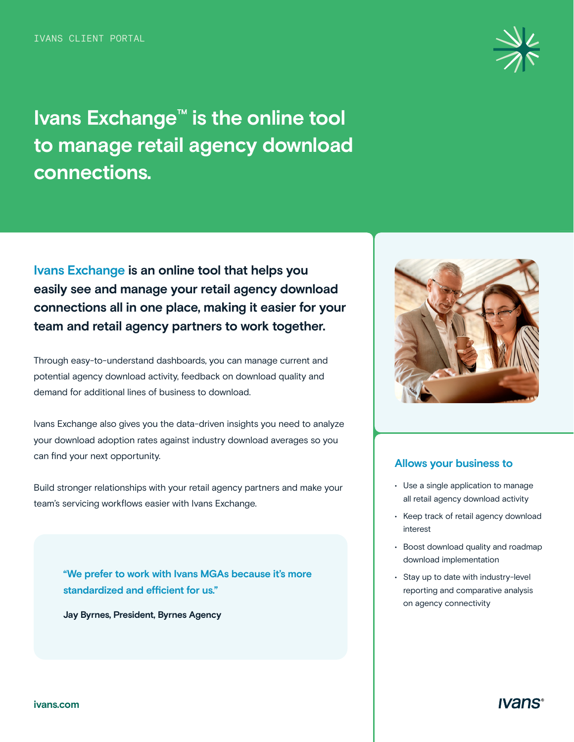

# **Ivans Exchange™ is the online tool to manage retail agency download connections.**

**Ivans Exchange is an online tool that helps you easily see and manage your retail agency download connections all in one place, making it easier for your team and retail agency partners to work together.** 

Through easy-to-understand dashboards, you can manage current and potential agency download activity, feedback on download quality and demand for additional lines of business to download.

Ivans Exchange also gives you the data-driven insights you need to analyze your download adoption rates against industry download averages so you can find your next opportunity.

Build stronger relationships with your retail agency partners and make your team's servicing workflows easier with Ivans Exchange.

**"We prefer to work with Ivans MGAs because it's more standardized and efficient for us."** 

**Jay Byrnes, President, Byrnes Agency** 



#### **Allows your business to**

- Use a single application to manage all retail agency download activity
- Keep track of retail agency download interest
- Boost download quality and roadmap download implementation
- Stay up to date with industry-level reporting and comparative analysis on agency connectivity